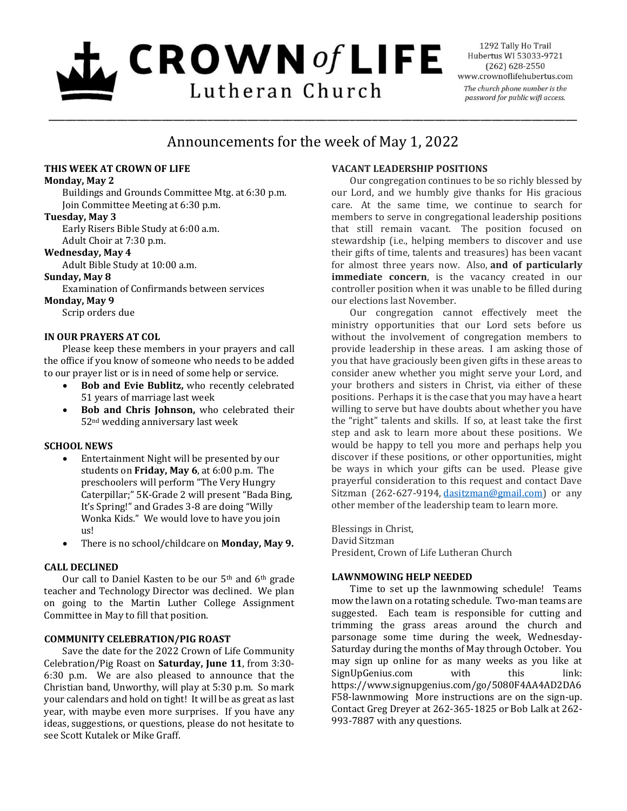# $\mathbf{L}$  CROWN of LIFE Lutheran Church

1292 Tally Ho Trail Hubertus WI 53033-9721  $(262) 628 - 2550$ www.crownoflifehubertus.com The church phone number is the password for public wifi access.

## Announcements for the week of May 1, 2022

\_\_\_\_\_\_\_\_\_\_\_\_\_\_\_\_\_\_\_\_\_\_\_\_\_\_\_\_\_\_\_\_\_\_\_\_\_\_\_\_\_\_\_\_\_\_\_\_\_\_\_\_\_\_\_\_\_\_\_\_\_\_\_\_\_\_\_\_\_\_\_\_\_\_\_\_\_\_\_\_\_\_\_\_\_\_\_\_\_\_\_\_\_

## **THIS WEEK AT CROWN OF LIFE**

#### **Monday, May 2**

Buildings and Grounds Committee Mtg. at 6:30 p.m. Join Committee Meeting at 6:30 p.m.

## **Tuesday, May 3**

Early Risers Bible Study at 6:00 a.m. Adult Choir at 7:30 p.m.

## **Wednesday, May 4**

Adult Bible Study at 10:00 a.m.

## **Sunday, May 8**

Examination of Confirmands between services

**Monday, May 9**

Scrip orders due

## **IN OUR PRAYERS AT COL**

Please keep these members in your prayers and call the office if you know of someone who needs to be added to our prayer list or is in need of some help or service.

- **Bob and Evie Bublitz,** who recently celebrated 51 years of marriage last week
- **Bob and Chris Johnson,** who celebrated their 52nd wedding anniversary last week

## **SCHOOL NEWS**

- Entertainment Night will be presented by our students on **Friday, May 6**, at 6:00 p.m. The preschoolers will perform "The Very Hungry Caterpillar;" 5K-Grade 2 will present "Bada Bing, It's Spring!" and Grades 3-8 are doing "Willy Wonka Kids." We would love to have you join us!
- There is no school/childcare on **Monday, May 9.**

## **CALL DECLINED**

Our call to Daniel Kasten to be our 5<sup>th</sup> and 6<sup>th</sup> grade teacher and Technology Director was declined. We plan on going to the Martin Luther College Assignment Committee in May to fill that position.

## **COMMUNITY CELEBRATION/PIG ROAST**

Save the date for the 2022 Crown of Life Community Celebration/Pig Roast on **Saturday, June 11**, from 3:30- 6:30 p.m. We are also pleased to announce that the Christian band, Unworthy, will play at 5:30 p.m. So mark your calendars and hold on tight! It will be as great as last year, with maybe even more surprises. If you have any ideas, suggestions, or questions, please do not hesitate to see Scott Kutalek or Mike Graff.

## **VACANT LEADERSHIP POSITIONS**

Our congregation continues to be so richly blessed by our Lord, and we humbly give thanks for His gracious care. At the same time, we continue to search for members to serve in congregational leadership positions that still remain vacant. The position focused on stewardship (i.e., helping members to discover and use their gifts of time, talents and treasures) has been vacant for almost three years now. Also, **and of particularly immediate concern**, is the vacancy created in our controller position when it was unable to be filled during our elections last November.

Our congregation cannot effectively meet the ministry opportunities that our Lord sets before us without the involvement of congregation members to provide leadership in these areas. I am asking those of you that have graciously been given gifts in these areas to consider anew whether you might serve your Lord, and your brothers and sisters in Christ, via either of these positions. Perhaps it is the case that you may have a heart willing to serve but have doubts about whether you have the "right" talents and skills. If so, at least take the first step and ask to learn more about these positions. We would be happy to tell you more and perhaps help you discover if these positions, or other opportunities, might be ways in which your gifts can be used. Please give prayerful consideration to this request and contact Dave Sitzman (262-627-9194, [dasitzman@gmail.com\)](mailto:dasitzman@gmail.com) or any other member of the leadership team to learn more.

Blessings in Christ, David Sitzman President, Crown of Life Lutheran Church

## **LAWNMOWING HELP NEEDED**

Time to set up the lawnmowing schedule! Teams mow the lawn on a rotating schedule. Two-man teams are suggested. Each team is responsible for cutting and trimming the grass areas around the church and parsonage some time during the week, Wednesday-Saturday during the months of May through October. You may sign up online for as many weeks as you like at SignUpGenius.com with this link: https://www.signupgenius.com/go/5080F4AA4AD2DA6 F58-lawnmowing More instructions are on the sign-up. Contact Greg Dreyer at 262-365-1825 or Bob Lalk at 262- 993-7887 with any questions.